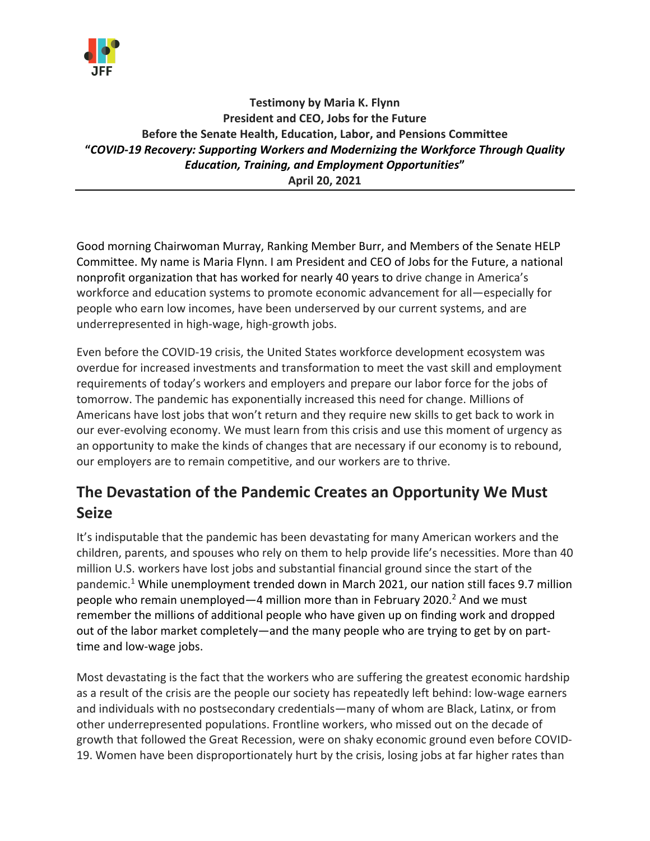

## **Testimony by Maria K. Flynn President and CEO, Jobs for the Future Before the Senate Health, Education, Labor, and Pensions Committee "***COVID-19 Recovery: Supporting Workers and Modernizing the Workforce Through Quality Education, Training, and Employment Opportunities***" April 20, 2021**

Good morning Chairwoman Murray, Ranking Member Burr, and Members of the Senate HELP Committee. My name is Maria Flynn. I am President and CEO of Jobs for the Future, a national nonprofit organization that has worked for nearly 40 years to drive change in America's workforce and education systems to promote economic advancement for all—especially for people who earn low incomes, have been underserved by our current systems, and are underrepresented in high-wage, high-growth jobs.

Even before the COVID-19 crisis, the United States workforce development ecosystem was overdue for increased investments and transformation to meet the vast skill and employment requirements of today's workers and employers and prepare our labor force for the jobs of tomorrow. The pandemic has exponentially increased this need for change. Millions of Americans have lost jobs that won't return and they require new skills to get back to work in our ever-evolving economy. We must learn from this crisis and use this moment of urgency as an opportunity to make the kinds of changes that are necessary if our economy is to rebound, our employers are to remain competitive, and our workers are to thrive.

# **The Devastation of the Pandemic Creates an Opportunity We Must Seize**

It's indisputable that the pandemic has been devastating for many American workers and the children, parents, and spouses who rely on them to help provide life's necessities. More than 40 million U.S. workers have lost jobs and substantial financial ground since the start of the pandemic.1 While unemployment trended down in March 2021, our nation still faces 9.7 million people who remain unemployed—4 million more than in February 2020.<sup>2</sup> And we must remember the millions of additional people who have given up on finding work and dropped out of the labor market completely—and the many people who are trying to get by on parttime and low-wage jobs.

Most devastating is the fact that the workers who are suffering the greatest economic hardship as a result of the crisis are the people our society has repeatedly left behind: low-wage earners and individuals with no postsecondary credentials—many of whom are Black, Latinx, or from other underrepresented populations. Frontline workers, who missed out on the decade of growth that followed the Great Recession, were on shaky economic ground even before COVID-19. Women have been disproportionately hurt by the crisis, losing jobs at far higher rates than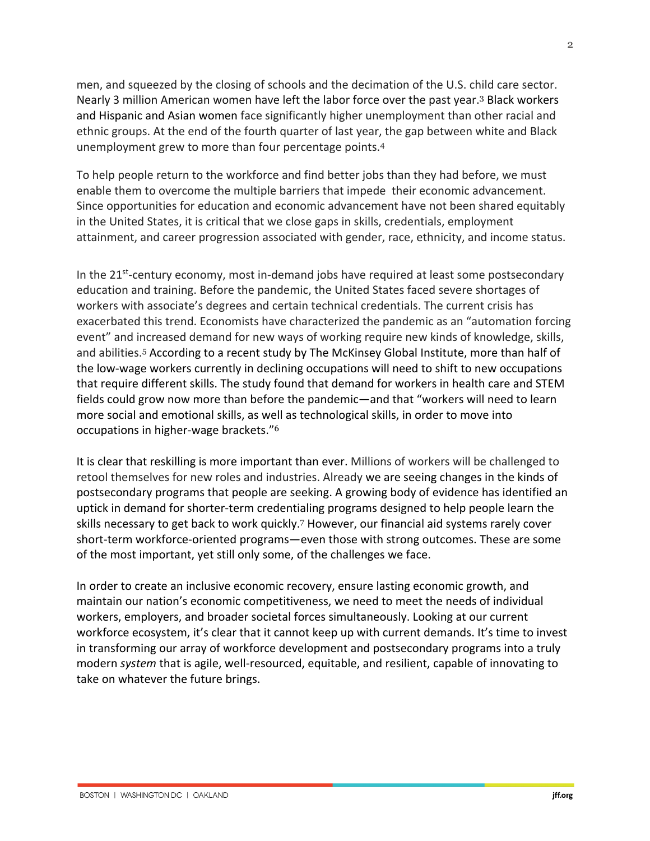men, and squeezed by the closing of schools and the decimation of the U.S. child care sector. Nearly 3 million American women have left the labor force over the past year. <sup>3</sup> Black workers and Hispanic and Asian women face significantly higher unemployment than other racial and ethnic groups. At the end of the fourth quarter of last year, the gap between white and Black unemployment grew to more than four percentage points. 4

To help people return to the workforce and find better jobs than they had before, we must enable them to overcome the multiple barriers that impede their economic advancement. Since opportunities for education and economic advancement have not been shared equitably in the United States, it is critical that we close gaps in skills, credentials, employment attainment, and career progression associated with gender, race, ethnicity, and income status.

In the  $21<sup>st</sup>$ -century economy, most in-demand jobs have required at least some postsecondary education and training. Before the pandemic, the United States faced severe shortages of workers with associate's degrees and certain technical credentials. The current crisis has exacerbated this trend. Economists have characterized the pandemic as an "automation forcing event" and increased demand for new ways of working require new kinds of knowledge, skills, and abilities.<sup>5</sup> According to a recent study by The McKinsey Global Institute, more than half of the low-wage workers currently in declining occupations will need to shift to new occupations that require different skills. The study found that demand for workers in health care and STEM fields could grow now more than before the pandemic—and that "workers will need to learn more social and emotional skills, as well as technological skills, in order to move into occupations in higher-wage brackets."<sup>6</sup>

It is clear that reskilling is more important than ever. Millions of workers will be challenged to retool themselves for new roles and industries. Already we are seeing changes in the kinds of postsecondary programs that people are seeking. A growing body of evidence has identified an uptick in demand for shorter-term credentialing programs designed to help people learn the skills necessary to get back to work quickly.<sup>7</sup> However, our financial aid systems rarely cover short-term workforce-oriented programs—even those with strong outcomes. These are some of the most important, yet still only some, of the challenges we face.

In order to create an inclusive economic recovery, ensure lasting economic growth, and maintain our nation's economic competitiveness, we need to meet the needs of individual workers, employers, and broader societal forces simultaneously. Looking at our current workforce ecosystem, it's clear that it cannot keep up with current demands. It's time to invest in transforming our array of workforce development and postsecondary programs into a truly modern *system* that is agile, well-resourced, equitable, and resilient, capable of innovating to take on whatever the future brings.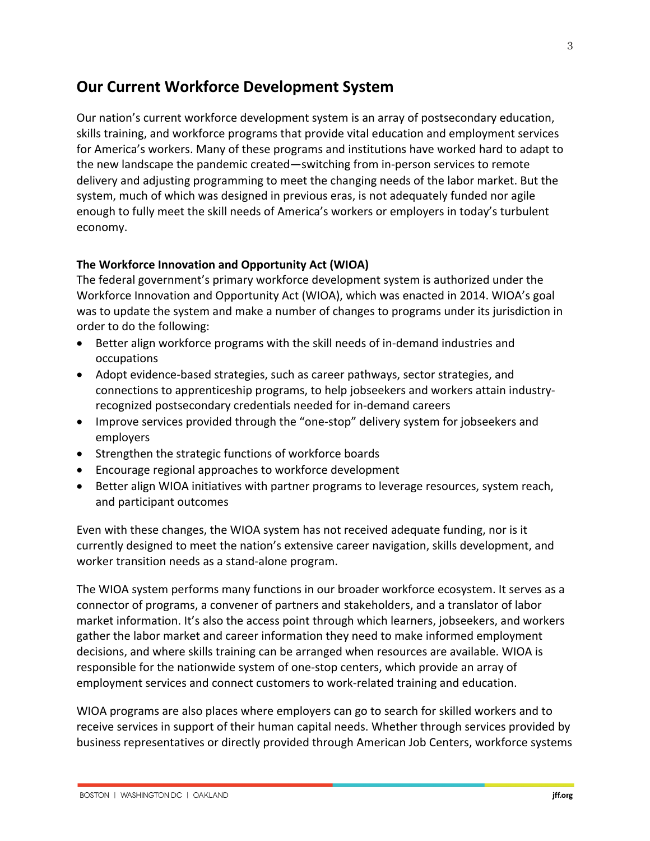## **Our Current Workforce Development System**

Our nation's current workforce development system is an array of postsecondary education, skills training, and workforce programs that provide vital education and employment services for America's workers. Many of these programs and institutions have worked hard to adapt to the new landscape the pandemic created—switching from in-person services to remote delivery and adjusting programming to meet the changing needs of the labor market. But the system, much of which was designed in previous eras, is not adequately funded nor agile enough to fully meet the skill needs of America's workers or employers in today's turbulent economy.

#### **The Workforce Innovation and Opportunity Act (WIOA)**

The federal government's primary workforce development system is authorized under the Workforce Innovation and Opportunity Act (WIOA), which was enacted in 2014. WIOA's goal was to update the system and make a number of changes to programs under its jurisdiction in order to do the following:

- Better align workforce programs with the skill needs of in-demand industries and occupations
- Adopt evidence-based strategies, such as career pathways, sector strategies, and connections to apprenticeship programs, to help jobseekers and workers attain industryrecognized postsecondary credentials needed for in-demand careers
- Improve services provided through the "one-stop" delivery system for jobseekers and employers
- Strengthen the strategic functions of workforce boards
- Encourage regional approaches to workforce development
- Better align WIOA initiatives with partner programs to leverage resources, system reach, and participant outcomes

Even with these changes, the WIOA system has not received adequate funding, nor is it currently designed to meet the nation's extensive career navigation, skills development, and worker transition needs as a stand-alone program.

The WIOA system performs many functions in our broader workforce ecosystem. It serves as a connector of programs, a convener of partners and stakeholders, and a translator of labor market information. It's also the access point through which learners, jobseekers, and workers gather the labor market and career information they need to make informed employment decisions, and where skills training can be arranged when resources are available. WIOA is responsible for the nationwide system of one-stop centers, which provide an array of employment services and connect customers to work-related training and education.

WIOA programs are also places where employers can go to search for skilled workers and to receive services in support of their human capital needs. Whether through services provided by business representatives or directly provided through American Job Centers, workforce systems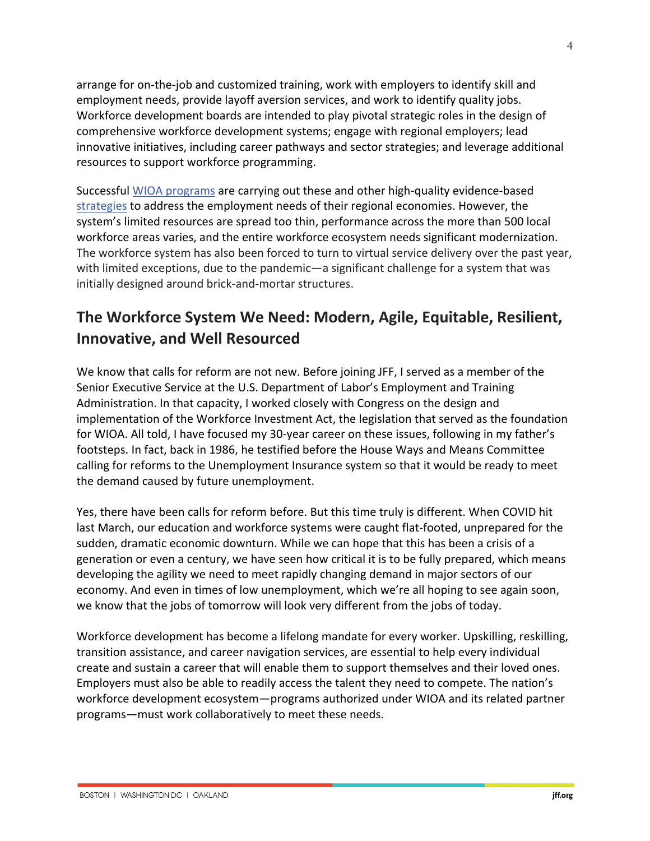arrange for on-the-job and customized training, work with employers to identify skill and employment needs, provide layoff aversion services, and work to identify quality jobs. Workforce development boards are intended to play pivotal strategic roles in the design of comprehensive workforce development systems; engage with regional employers; lead innovative initiatives, including career pathways and sector strategies; and leverage additional resources to support workforce programming.

Successful WIOA programs are carrying out these and other high-quality evidence-based strategies to address the employment needs of their regional economies. However, the system's limited resources are spread too thin, performance across the more than 500 local workforce areas varies, and the entire workforce ecosystem needs significant modernization. The workforce system has also been forced to turn to virtual service delivery over the past year, with limited exceptions, due to the pandemic—a significant challenge for a system that was initially designed around brick-and-mortar structures.

# **The Workforce System We Need: Modern, Agile, Equitable, Resilient, Innovative, and Well Resourced**

We know that calls for reform are not new. Before joining JFF, I served as a member of the Senior Executive Service at the U.S. Department of Labor's Employment and Training Administration. In that capacity, I worked closely with Congress on the design and implementation of the Workforce Investment Act, the legislation that served as the foundation for WIOA. All told, I have focused my 30-year career on these issues, following in my father's footsteps. In fact, back in 1986, he testified before the House Ways and Means Committee calling for reforms to the Unemployment Insurance system so that it would be ready to meet the demand caused by future unemployment.

Yes, there have been calls for reform before. But this time truly is different. When COVID hit last March, our education and workforce systems were caught flat-footed, unprepared for the sudden, dramatic economic downturn. While we can hope that this has been a crisis of a generation or even a century, we have seen how critical it is to be fully prepared, which means developing the agility we need to meet rapidly changing demand in major sectors of our economy. And even in times of low unemployment, which we're all hoping to see again soon, we know that the jobs of tomorrow will look very different from the jobs of today.

Workforce development has become a lifelong mandate for every worker. Upskilling, reskilling, transition assistance, and career navigation services, are essential to help every individual create and sustain a career that will enable them to support themselves and their loved ones. Employers must also be able to readily access the talent they need to compete. The nation's workforce development ecosystem—programs authorized under WIOA and its related partner programs—must work collaboratively to meet these needs.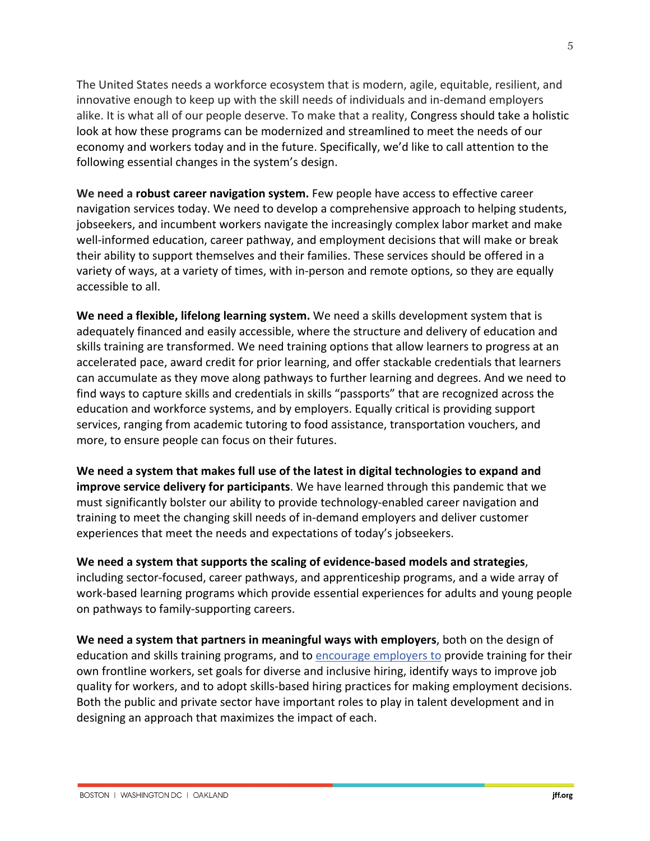The United States needs a workforce ecosystem that is modern, agile, equitable, resilient, and innovative enough to keep up with the skill needs of individuals and in-demand employers alike. It is what all of our people deserve. To make that a reality, Congress should take a holistic look at how these programs can be modernized and streamlined to meet the needs of our economy and workers today and in the future. Specifically, we'd like to call attention to the following essential changes in the system's design.

**We need a robust career navigation system.** Few people have access to effective career navigation services today. We need to develop a comprehensive approach to helping students, jobseekers, and incumbent workers navigate the increasingly complex labor market and make well-informed education, career pathway, and employment decisions that will make or break their ability to support themselves and their families. These services should be offered in a variety of ways, at a variety of times, with in-person and remote options, so they are equally accessible to all.

**We need a flexible, lifelong learning system.** We need a skills development system that is adequately financed and easily accessible, where the structure and delivery of education and skills training are transformed. We need training options that allow learners to progress at an accelerated pace, award credit for prior learning, and offer stackable credentials that learners can accumulate as they move along pathways to further learning and degrees. And we need to find ways to capture skills and credentials in skills "passports" that are recognized across the education and workforce systems, and by employers. Equally critical is providing support services, ranging from academic tutoring to food assistance, transportation vouchers, and more, to ensure people can focus on their futures.

**We need a system that makes full use of the latest in digital technologies to expand and improve service delivery for participants**. We have learned through this pandemic that we must significantly bolster our ability to provide technology-enabled career navigation and training to meet the changing skill needs of in-demand employers and deliver customer experiences that meet the needs and expectations of today's jobseekers.

**We need a system that supports the scaling of evidence-based models and strategies**, including sector-focused, career pathways, and apprenticeship programs, and a wide array of work-based learning programs which provide essential experiences for adults and young people on pathways to family-supporting careers.

**We need a system that partners in meaningful ways with employers**, both on the design of education and skills training programs, and to encourage employers to provide training for their own frontline workers, set goals for diverse and inclusive hiring, identify ways to improve job quality for workers, and to adopt skills-based hiring practices for making employment decisions. Both the public and private sector have important roles to play in talent development and in designing an approach that maximizes the impact of each.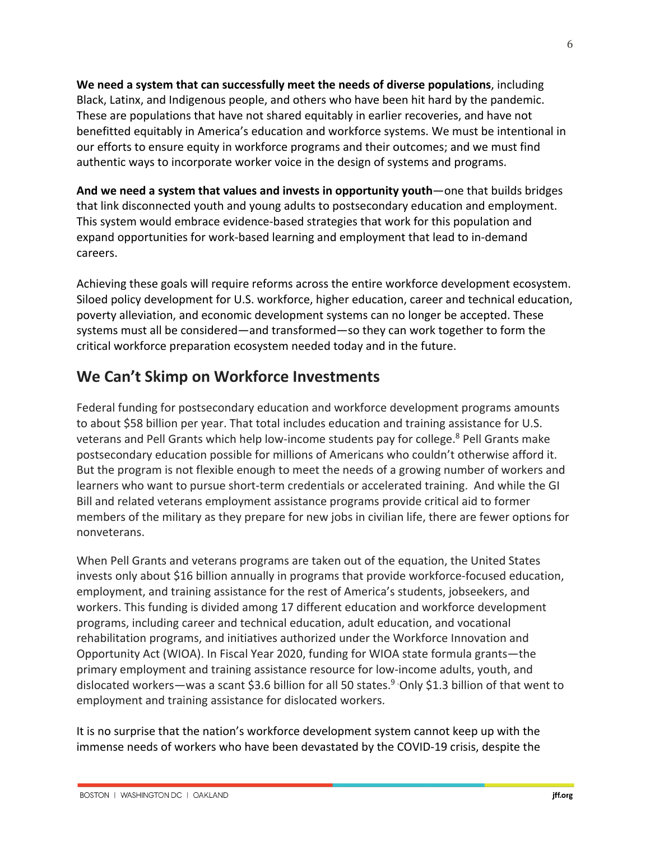**We need a system that can successfully meet the needs of diverse populations**, including Black, Latinx, and Indigenous people, and others who have been hit hard by the pandemic. These are populations that have not shared equitably in earlier recoveries, and have not benefitted equitably in America's education and workforce systems. We must be intentional in our efforts to ensure equity in workforce programs and their outcomes; and we must find authentic ways to incorporate worker voice in the design of systems and programs.

**And we need a system that values and invests in opportunity youth**—one that builds bridges that link disconnected youth and young adults to postsecondary education and employment. This system would embrace evidence-based strategies that work for this population and expand opportunities for work-based learning and employment that lead to in-demand careers.

Achieving these goals will require reforms across the entire workforce development ecosystem. Siloed policy development for U.S. workforce, higher education, career and technical education, poverty alleviation, and economic development systems can no longer be accepted. These systems must all be considered—and transformed—so they can work together to form the critical workforce preparation ecosystem needed today and in the future.

## **We Can't Skimp on Workforce Investments**

Federal funding for postsecondary education and workforce development programs amounts to about \$58 billion per year. That total includes education and training assistance for U.S. veterans and Pell Grants which help low-income students pay for college.<sup>8</sup> Pell Grants make postsecondary education possible for millions of Americans who couldn't otherwise afford it. But the program is not flexible enough to meet the needs of a growing number of workers and learners who want to pursue short-term credentials or accelerated training. And while the GI Bill and related veterans employment assistance programs provide critical aid to former members of the military as they prepare for new jobs in civilian life, there are fewer options for nonveterans.

When Pell Grants and veterans programs are taken out of the equation, the United States invests only about \$16 billion annually in programs that provide workforce-focused education, employment, and training assistance for the rest of America's students, jobseekers, and workers. This funding is divided among 17 different education and workforce development programs, including career and technical education, adult education, and vocational rehabilitation programs, and initiatives authorized under the Workforce Innovation and Opportunity Act (WIOA). In Fiscal Year 2020, funding for WIOA state formula grants—the primary employment and training assistance resource for low-income adults, youth, and dislocated workers—was a scant \$3.6 billion for all 50 states.<sup>9</sup> Only \$1.3 billion of that went to employment and training assistance for dislocated workers.

It is no surprise that the nation's workforce development system cannot keep up with the immense needs of workers who have been devastated by the COVID-19 crisis, despite the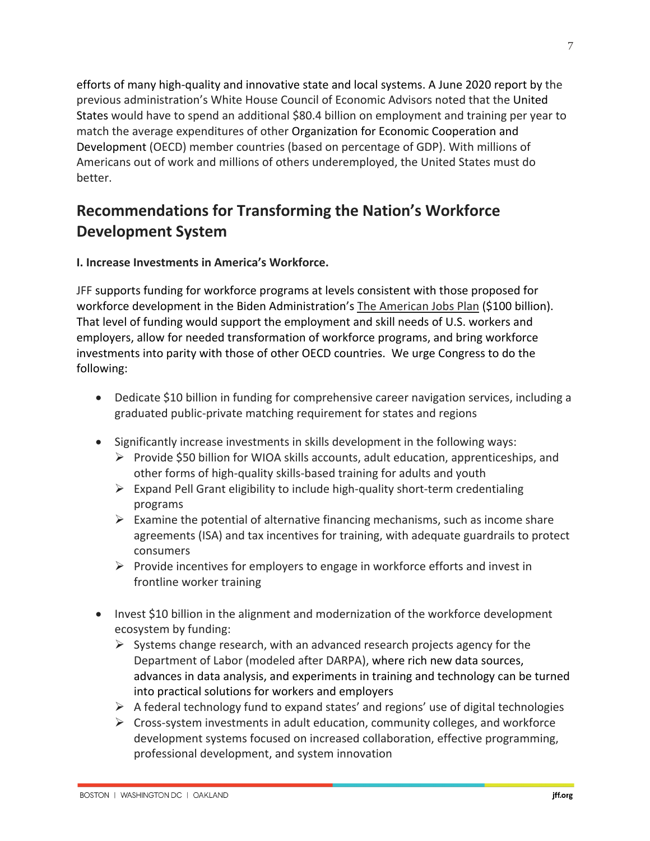efforts of many high-quality and innovative state and local systems. A June 2020 report by the previous administration's White House Council of Economic Advisors noted that the United States would have to spend an additional \$80.4 billion on employment and training per year to match the average expenditures of other Organization for Economic Cooperation and Development (OECD) member countries (based on percentage of GDP). With millions of Americans out of work and millions of others underemployed, the United States must do better.

# **Recommendations for Transforming the Nation's Workforce Development System**

## **I. Increase Investments in America's Workforce.**

JFF supports funding for workforce programs at levels consistent with those proposed for workforce development in the Biden Administration's The American Jobs Plan (\$100 billion). That level of funding would support the employment and skill needs of U.S. workers and employers, allow for needed transformation of workforce programs, and bring workforce investments into parity with those of other OECD countries. We urge Congress to do the following:

- Dedicate \$10 billion in funding for comprehensive career navigation services, including a graduated public-private matching requirement for states and regions
- Significantly increase investments in skills development in the following ways:
	- $\triangleright$  Provide \$50 billion for WIOA skills accounts, adult education, apprenticeships, and other forms of high-quality skills-based training for adults and youth
	- $\triangleright$  Expand Pell Grant eligibility to include high-quality short-term credentialing programs
	- $\triangleright$  Examine the potential of alternative financing mechanisms, such as income share agreements (ISA) and tax incentives for training, with adequate guardrails to protect consumers
	- $\triangleright$  Provide incentives for employers to engage in workforce efforts and invest in frontline worker training
- Invest \$10 billion in the alignment and modernization of the workforce development ecosystem by funding:
	- $\triangleright$  Systems change research, with an advanced research projects agency for the Department of Labor (modeled after DARPA), where rich new data sources, advances in data analysis, and experiments in training and technology can be turned into practical solutions for workers and employers
	- $\triangleright$  A federal technology fund to expand states' and regions' use of digital technologies
	- $\triangleright$  Cross-system investments in adult education, community colleges, and workforce development systems focused on increased collaboration, effective programming, professional development, and system innovation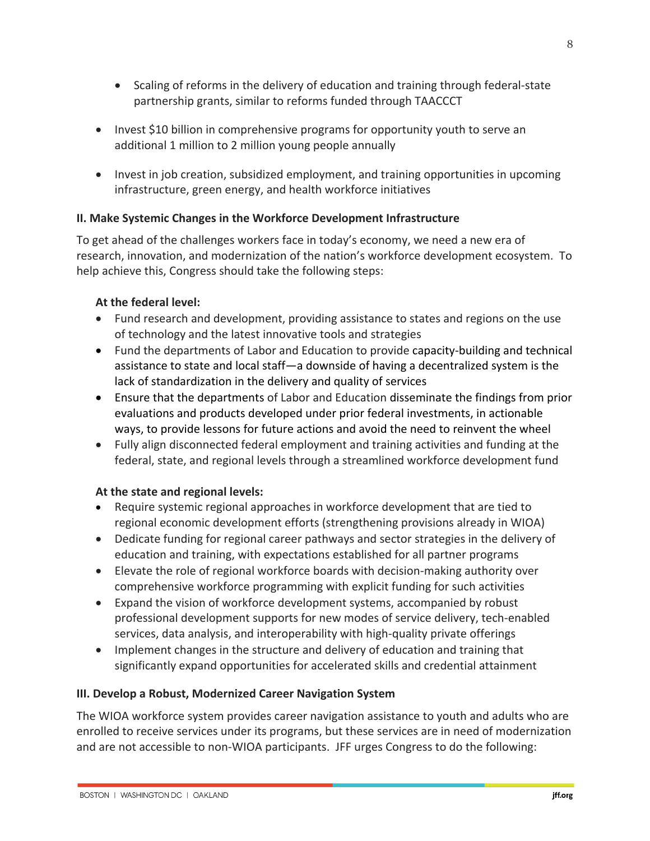- Scaling of reforms in the delivery of education and training through federal-state partnership grants, similar to reforms funded through TAACCCT
- Invest \$10 billion in comprehensive programs for opportunity youth to serve an additional 1 million to 2 million young people annually
- Invest in job creation, subsidized employment, and training opportunities in upcoming infrastructure, green energy, and health workforce initiatives

## **II. Make Systemic Changes in the Workforce Development Infrastructure**

To get ahead of the challenges workers face in today's economy, we need a new era of research, innovation, and modernization of the nation's workforce development ecosystem. To help achieve this, Congress should take the following steps:

### **At the federal level:**

- Fund research and development, providing assistance to states and regions on the use of technology and the latest innovative tools and strategies
- Fund the departments of Labor and Education to provide capacity-building and technical assistance to state and local staff—a downside of having a decentralized system is the lack of standardization in the delivery and quality of services
- Ensure that the departments of Labor and Education disseminate the findings from prior evaluations and products developed under prior federal investments, in actionable ways, to provide lessons for future actions and avoid the need to reinvent the wheel
- Fully align disconnected federal employment and training activities and funding at the federal, state, and regional levels through a streamlined workforce development fund

## **At the state and regional levels:**

- Require systemic regional approaches in workforce development that are tied to regional economic development efforts (strengthening provisions already in WIOA)
- Dedicate funding for regional career pathways and sector strategies in the delivery of education and training, with expectations established for all partner programs
- Elevate the role of regional workforce boards with decision-making authority over comprehensive workforce programming with explicit funding for such activities
- Expand the vision of workforce development systems, accompanied by robust professional development supports for new modes of service delivery, tech-enabled services, data analysis, and interoperability with high-quality private offerings
- Implement changes in the structure and delivery of education and training that significantly expand opportunities for accelerated skills and credential attainment

#### **III. Develop a Robust, Modernized Career Navigation System**

The WIOA workforce system provides career navigation assistance to youth and adults who are enrolled to receive services under its programs, but these services are in need of modernization and are not accessible to non-WIOA participants. JFF urges Congress to do the following: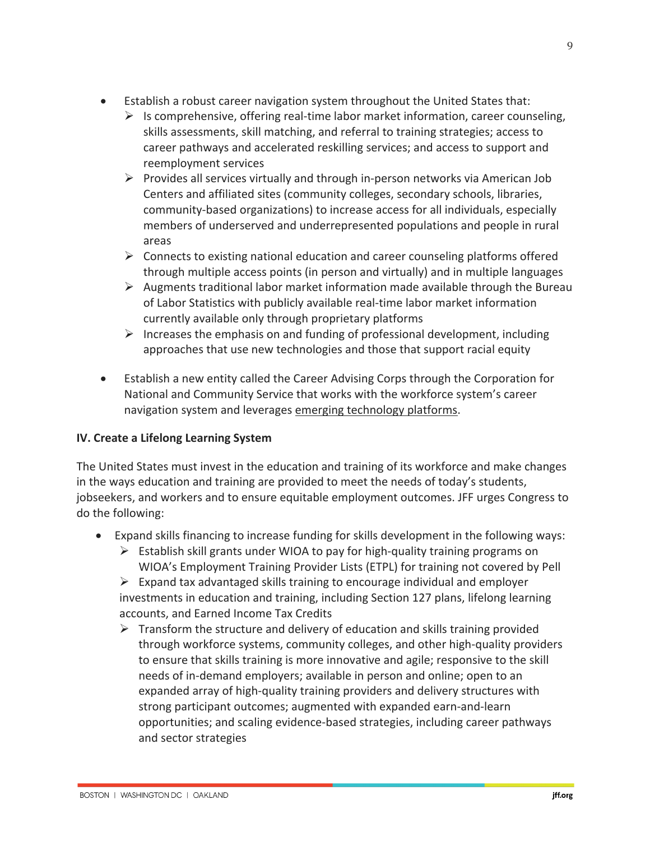- Establish a robust career navigation system throughout the United States that:
	- $\triangleright$  Is comprehensive, offering real-time labor market information, career counseling, skills assessments, skill matching, and referral to training strategies; access to career pathways and accelerated reskilling services; and access to support and reemployment services
	- $\triangleright$  Provides all services virtually and through in-person networks via American Job Centers and affiliated sites (community colleges, secondary schools, libraries, community-based organizations) to increase access for all individuals, especially members of underserved and underrepresented populations and people in rural areas
	- $\triangleright$  Connects to existing national education and career counseling platforms offered through multiple access points (in person and virtually) and in multiple languages
	- $\triangleright$  Augments traditional labor market information made available through the Bureau of Labor Statistics with publicly available real-time labor market information currently available only through proprietary platforms
	- $\triangleright$  Increases the emphasis on and funding of professional development, including approaches that use new technologies and those that support racial equity
- Establish a new entity called the Career Advising Corps through the Corporation for National and Community Service that works with the workforce system's career navigation system and leverages emerging technology platforms.

## **IV. Create a Lifelong Learning System**

The United States must invest in the education and training of its workforce and make changes in the ways education and training are provided to meet the needs of today's students, jobseekers, and workers and to ensure equitable employment outcomes. JFF urges Congress to do the following:

- Expand skills financing to increase funding for skills development in the following ways:
	- $\triangleright$  Establish skill grants under WIOA to pay for high-quality training programs on WIOA's Employment Training Provider Lists (ETPL) for training not covered by Pell

 $\triangleright$  Expand tax advantaged skills training to encourage individual and employer investments in education and training, including Section 127 plans, lifelong learning accounts, and Earned Income Tax Credits

 $\triangleright$  Transform the structure and delivery of education and skills training provided through workforce systems, community colleges, and other high-quality providers to ensure that skills training is more innovative and agile; responsive to the skill needs of in-demand employers; available in person and online; open to an expanded array of high-quality training providers and delivery structures with strong participant outcomes; augmented with expanded earn-and-learn opportunities; and scaling evidence-based strategies, including career pathways and sector strategies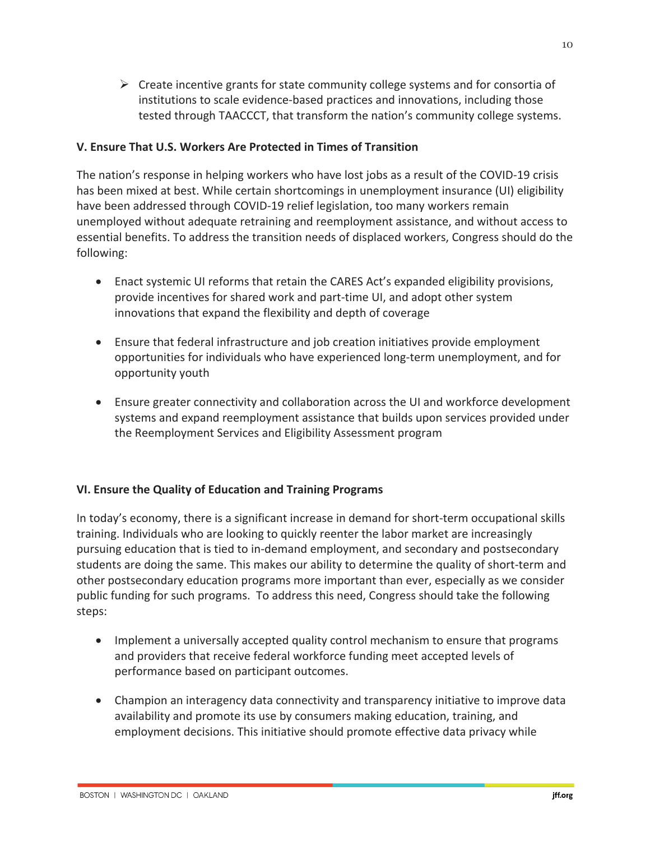$\triangleright$  Create incentive grants for state community college systems and for consortia of institutions to scale evidence-based practices and innovations, including those tested through TAACCCT, that transform the nation's community college systems.

## **V. Ensure That U.S. Workers Are Protected in Times of Transition**

The nation's response in helping workers who have lost jobs as a result of the COVID-19 crisis has been mixed at best. While certain shortcomings in unemployment insurance (UI) eligibility have been addressed through COVID-19 relief legislation, too many workers remain unemployed without adequate retraining and reemployment assistance, and without access to essential benefits. To address the transition needs of displaced workers, Congress should do the following:

- Enact systemic UI reforms that retain the CARES Act's expanded eligibility provisions, provide incentives for shared work and part-time UI, and adopt other system innovations that expand the flexibility and depth of coverage
- Ensure that federal infrastructure and job creation initiatives provide employment opportunities for individuals who have experienced long-term unemployment, and for opportunity youth
- Ensure greater connectivity and collaboration across the UI and workforce development systems and expand reemployment assistance that builds upon services provided under the Reemployment Services and Eligibility Assessment program

## **VI. Ensure the Quality of Education and Training Programs**

In today's economy, there is a significant increase in demand for short-term occupational skills training. Individuals who are looking to quickly reenter the labor market are increasingly pursuing education that is tied to in-demand employment, and secondary and postsecondary students are doing the same. This makes our ability to determine the quality of short-term and other postsecondary education programs more important than ever, especially as we consider public funding for such programs. To address this need, Congress should take the following steps:

- Implement a universally accepted quality control mechanism to ensure that programs and providers that receive federal workforce funding meet accepted levels of performance based on participant outcomes.
- Champion an interagency data connectivity and transparency initiative to improve data availability and promote its use by consumers making education, training, and employment decisions. This initiative should promote effective data privacy while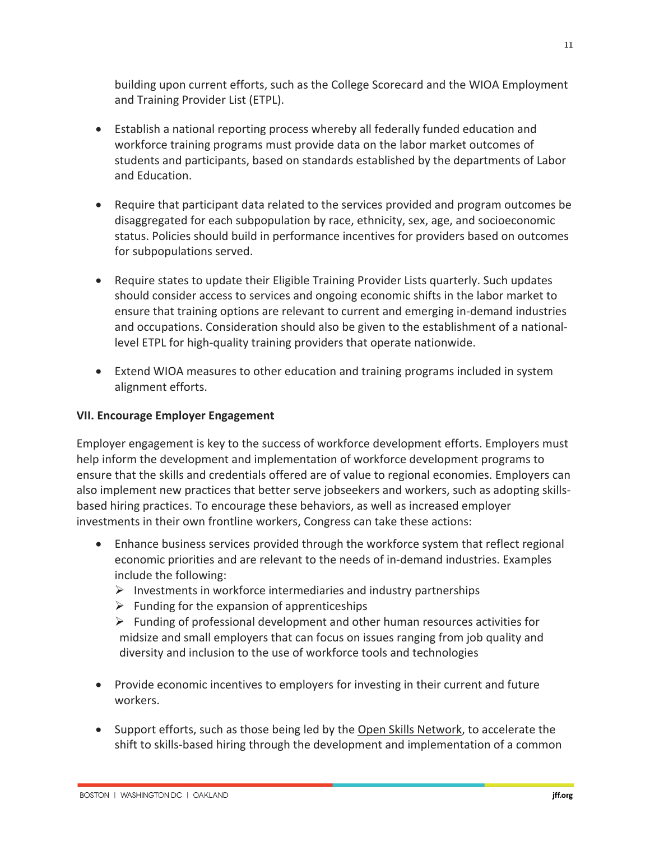building upon current efforts, such as the College Scorecard and the WIOA Employment and Training Provider List (ETPL).

- Establish a national reporting process whereby all federally funded education and workforce training programs must provide data on the labor market outcomes of students and participants, based on standards established by the departments of Labor and Education.
- Require that participant data related to the services provided and program outcomes be disaggregated for each subpopulation by race, ethnicity, sex, age, and socioeconomic status. Policies should build in performance incentives for providers based on outcomes for subpopulations served.
- Require states to update their Eligible Training Provider Lists quarterly. Such updates should consider access to services and ongoing economic shifts in the labor market to ensure that training options are relevant to current and emerging in-demand industries and occupations. Consideration should also be given to the establishment of a nationallevel ETPL for high-quality training providers that operate nationwide.
- Extend WIOA measures to other education and training programs included in system alignment efforts.

## **VII. Encourage Employer Engagement**

Employer engagement is key to the success of workforce development efforts. Employers must help inform the development and implementation of workforce development programs to ensure that the skills and credentials offered are of value to regional economies. Employers can also implement new practices that better serve jobseekers and workers, such as adopting skillsbased hiring practices. To encourage these behaviors, as well as increased employer investments in their own frontline workers, Congress can take these actions:

- Enhance business services provided through the workforce system that reflect regional economic priorities and are relevant to the needs of in-demand industries. Examples include the following:
	- $\triangleright$  Investments in workforce intermediaries and industry partnerships
	- $\triangleright$  Funding for the expansion of apprenticeships
	- $\triangleright$  Funding of professional development and other human resources activities for midsize and small employers that can focus on issues ranging from job quality and diversity and inclusion to the use of workforce tools and technologies
- Provide economic incentives to employers for investing in their current and future workers.
- Support efforts, such as those being led by the Open Skills Network, to accelerate the shift to skills-based hiring through the development and implementation of a common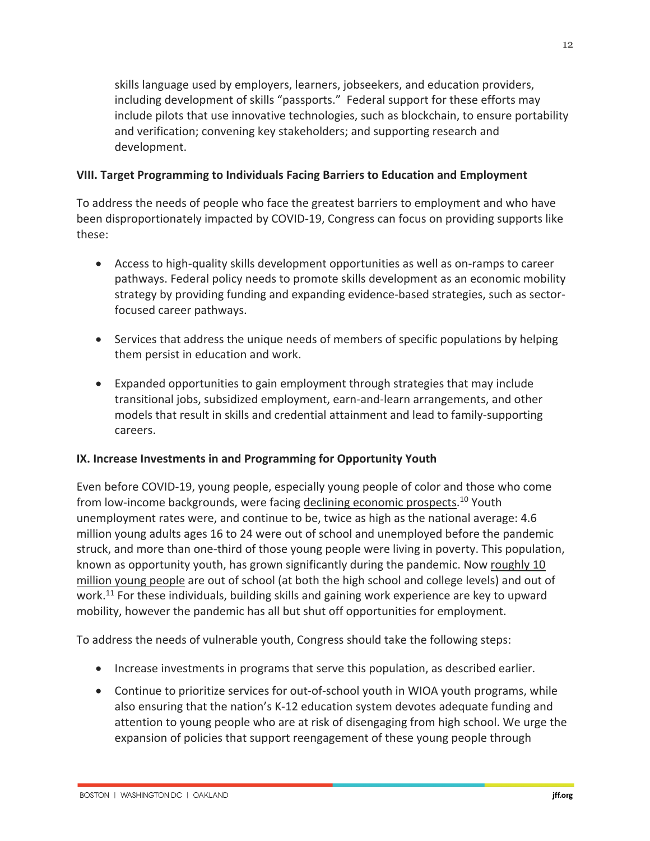skills language used by employers, learners, jobseekers, and education providers, including development of skills "passports." Federal support for these efforts may include pilots that use innovative technologies, such as blockchain, to ensure portability and verification; convening key stakeholders; and supporting research and development.

### **VIII. Target Programming to Individuals Facing Barriers to Education and Employment**

To address the needs of people who face the greatest barriers to employment and who have been disproportionately impacted by COVID-19, Congress can focus on providing supports like these:

- Access to high-quality skills development opportunities as well as on-ramps to career pathways. Federal policy needs to promote skills development as an economic mobility strategy by providing funding and expanding evidence-based strategies, such as sectorfocused career pathways.
- Services that address the unique needs of members of specific populations by helping them persist in education and work.
- Expanded opportunities to gain employment through strategies that may include transitional jobs, subsidized employment, earn-and-learn arrangements, and other models that result in skills and credential attainment and lead to family-supporting careers.

## **IX. Increase Investments in and Programming for Opportunity Youth**

Even before COVID-19, young people, especially young people of color and those who come from low-income backgrounds, were facing declining economic prospects.<sup>10</sup> Youth unemployment rates were, and continue to be, twice as high as the national average: 4.6 million young adults ages 16 to 24 were out of school and unemployed before the pandemic struck, and more than one-third of those young people were living in poverty. This population, known as opportunity youth, has grown significantly during the pandemic. Now roughly 10 million young people are out of school (at both the high school and college levels) and out of work.<sup>11</sup> For these individuals, building skills and gaining work experience are key to upward mobility, however the pandemic has all but shut off opportunities for employment.

To address the needs of vulnerable youth, Congress should take the following steps:

- Increase investments in programs that serve this population, as described earlier.
- Continue to prioritize services for out-of-school youth in WIOA youth programs, while also ensuring that the nation's K-12 education system devotes adequate funding and attention to young people who are at risk of disengaging from high school. We urge the expansion of policies that support reengagement of these young people through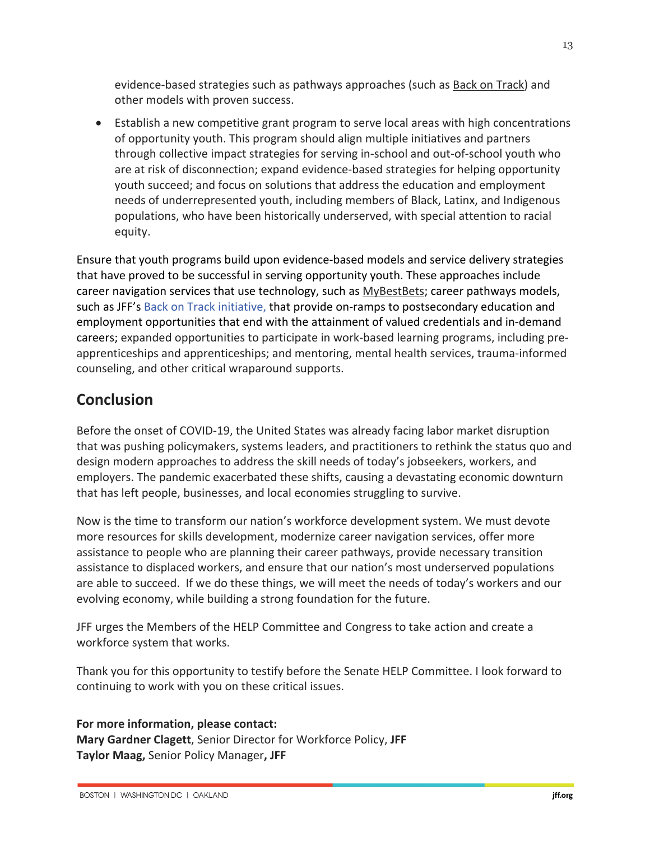evidence-based strategies such as pathways approaches (such as Back on Track) and other models with proven success.

• Establish a new competitive grant program to serve local areas with high concentrations of opportunity youth. This program should align multiple initiatives and partners through collective impact strategies for serving in-school and out-of-school youth who are at risk of disconnection; expand evidence-based strategies for helping opportunity youth succeed; and focus on solutions that address the education and employment needs of underrepresented youth, including members of Black, Latinx, and Indigenous populations, who have been historically underserved, with special attention to racial equity.

Ensure that youth programs build upon evidence-based models and service delivery strategies that have proved to be successful in serving opportunity youth. These approaches include career navigation services that use technology, such as MyBestBets; career pathways models, such as JFF's Back on Track initiative, that provide on-ramps to postsecondary education and employment opportunities that end with the attainment of valued credentials and in-demand careers; expanded opportunities to participate in work-based learning programs, including preapprenticeships and apprenticeships; and mentoring, mental health services, trauma-informed counseling, and other critical wraparound supports.

# **Conclusion**

Before the onset of COVID-19, the United States was already facing labor market disruption that was pushing policymakers, systems leaders, and practitioners to rethink the status quo and design modern approaches to address the skill needs of today's jobseekers, workers, and employers. The pandemic exacerbated these shifts, causing a devastating economic downturn that has left people, businesses, and local economies struggling to survive.

Now is the time to transform our nation's workforce development system. We must devote more resources for skills development, modernize career navigation services, offer more assistance to people who are planning their career pathways, provide necessary transition assistance to displaced workers, and ensure that our nation's most underserved populations are able to succeed. If we do these things, we will meet the needs of today's workers and our evolving economy, while building a strong foundation for the future.

JFF urges the Members of the HELP Committee and Congress to take action and create a workforce system that works.

Thank you for this opportunity to testify before the Senate HELP Committee. I look forward to continuing to work with you on these critical issues.

**For more information, please contact: Mary Gardner Clagett**, Senior Director for Workforce Policy, **JFF Taylor Maag,** Senior Policy Manager**, JFF**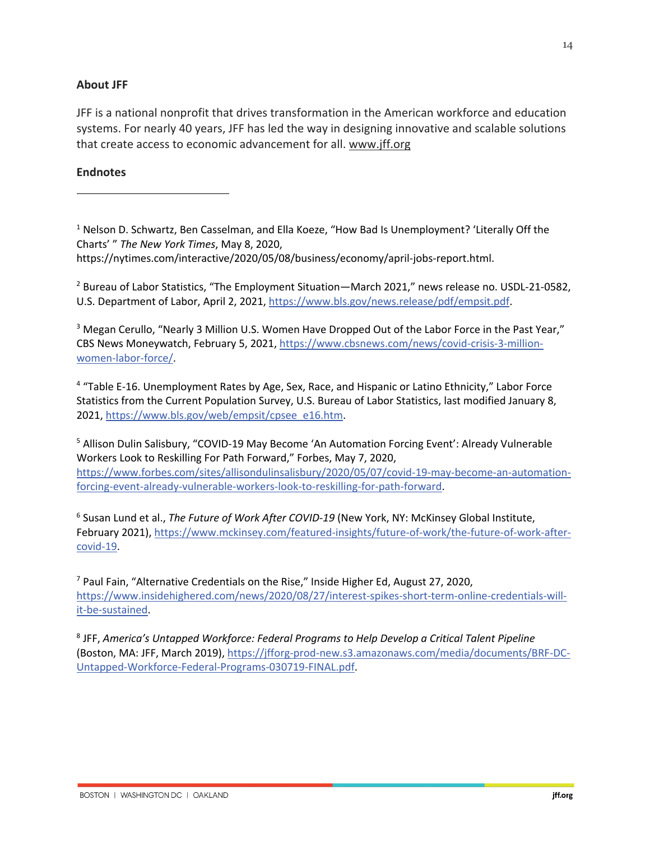#### **About JFF**

JFF is a national nonprofit that drives transformation in the American workforce and education systems. For nearly 40 years, JFF has led the way in designing innovative and scalable solutions that create access to economic advancement for all. www.jff.org

#### **Endnotes**

<sup>1</sup> Nelson D. Schwartz, Ben Casselman, and Ella Koeze, "How Bad Is Unemployment? 'Literally Off the Charts' " *The New York Times*, May 8, 2020, https://nytimes.com/interactive/2020/05/08/business/economy/april-jobs-report.html.

<sup>2</sup> Bureau of Labor Statistics, "The Employment Situation—March 2021," news release no. USDL-21-0582, U.S. Department of Labor, April 2, 2021, https://www.bls.gov/news.release/pdf/empsit.pdf.

<sup>3</sup> Megan Cerullo, "Nearly 3 Million U.S. Women Have Dropped Out of the Labor Force in the Past Year," CBS News Moneywatch, February 5, 2021, https://www.cbsnews.com/news/covid-crisis-3-millionwomen-labor-force/.

<sup>4</sup> "Table E-16. Unemployment Rates by Age, Sex, Race, and Hispanic or Latino Ethnicity," Labor Force Statistics from the Current Population Survey, U.S. Bureau of Labor Statistics, last modified January 8, 2021, https://www.bls.gov/web/empsit/cpsee\_e16.htm.

<sup>5</sup> Allison Dulin Salisbury, "COVID-19 May Become 'An Automation Forcing Event': Already Vulnerable Workers Look to Reskilling For Path Forward," Forbes, May 7, 2020, https://www.forbes.com/sites/allisondulinsalisbury/2020/05/07/covid-19-may-become-an-automationforcing-event-already-vulnerable-workers-look-to-reskilling-for-path-forward.

<sup>6</sup> Susan Lund et al., *The Future of Work After COVID-19* (New York, NY: McKinsey Global Institute, February 2021), https://www.mckinsey.com/featured-insights/future-of-work/the-future-of-work-aftercovid-19.

 $<sup>7</sup>$  Paul Fain, "Alternative Credentials on the Rise," Inside Higher Ed, August 27, 2020,</sup> https://www.insidehighered.com/news/2020/08/27/interest-spikes-short-term-online-credentials-willit-be-sustained.

<sup>8</sup> JFF, *America's Untapped Workforce: Federal Programs to Help Develop a Critical Talent Pipeline* (Boston, MA: JFF, March 2019), https://jfforg-prod-new.s3.amazonaws.com/media/documents/BRF-DC-Untapped-Workforce-Federal-Programs-030719-FINAL.pdf.

14